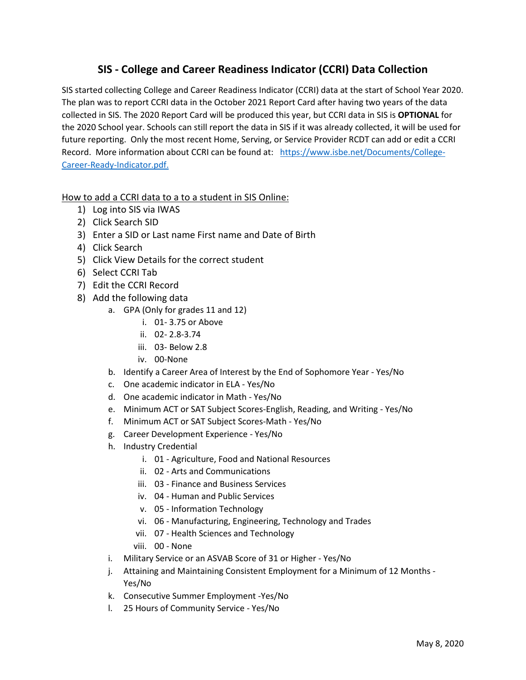## **SIS - College and Career Readiness Indicator (CCRI) Data Collection**

SIS started collecting College and Career Readiness Indicator (CCRI) data at the start of School Year 2020. The plan was to report CCRI data in the October 2021 Report Card after having two years of the data collected in SIS. The 2020 Report Card will be produced this year, but CCRI data in SIS is **OPTIONAL** for the 2020 School year. Schools can still report the data in SIS if it was already collected, it will be used for future reporting. Only the most recent Home, Serving, or Service Provider RCDT can add or edit a CCRI Record. More information about CCRI can be found at: [https://www.isbe.net/Documents/College-](https://www.isbe.net/Documents/College-Career-Ready-Indicator.pdf)[Career-Ready-Indicator.pdf.](https://www.isbe.net/Documents/College-Career-Ready-Indicator.pdf)

## How to add a CCRI data to a to a student in SIS Online:

- 1) Log into SIS via IWAS
- 2) Click Search SID
- 3) Enter a SID or Last name First name and Date of Birth
- 4) Click Search
- 5) Click View Details for the correct student
- 6) Select CCRI Tab
- 7) Edit the CCRI Record
- 8) Add the following data
	- a. GPA (Only for grades 11 and 12)
		- i. 01- 3.75 or Above
		- ii. 02- 2.8-3.74
		- iii. 03- Below 2.8
		- iv. 00-None
		- b. Identify a Career Area of Interest by the End of Sophomore Year Yes/No
		- c. One academic indicator in ELA Yes/No
		- d. One academic indicator in Math Yes/No
		- e. Minimum ACT or SAT Subject Scores-English, Reading, and Writing Yes/No
		- f. Minimum ACT or SAT Subject Scores-Math Yes/No
		- g. Career Development Experience Yes/No
		- h. Industry Credential
			- i. 01 Agriculture, Food and National Resources
			- ii. 02 Arts and Communications
			- iii. 03 Finance and Business Services
			- iv. 04 Human and Public Services
			- v. 05 Information Technology
			- vi. 06 Manufacturing, Engineering, Technology and Trades
			- vii. 07 Health Sciences and Technology
			- viii. 00 None
		- i. Military Service or an ASVAB Score of 31 or Higher Yes/No
		- j. Attaining and Maintaining Consistent Employment for a Minimum of 12 Months Yes/No
		- k. Consecutive Summer Employment -Yes/No
		- l. 25 Hours of Community Service Yes/No